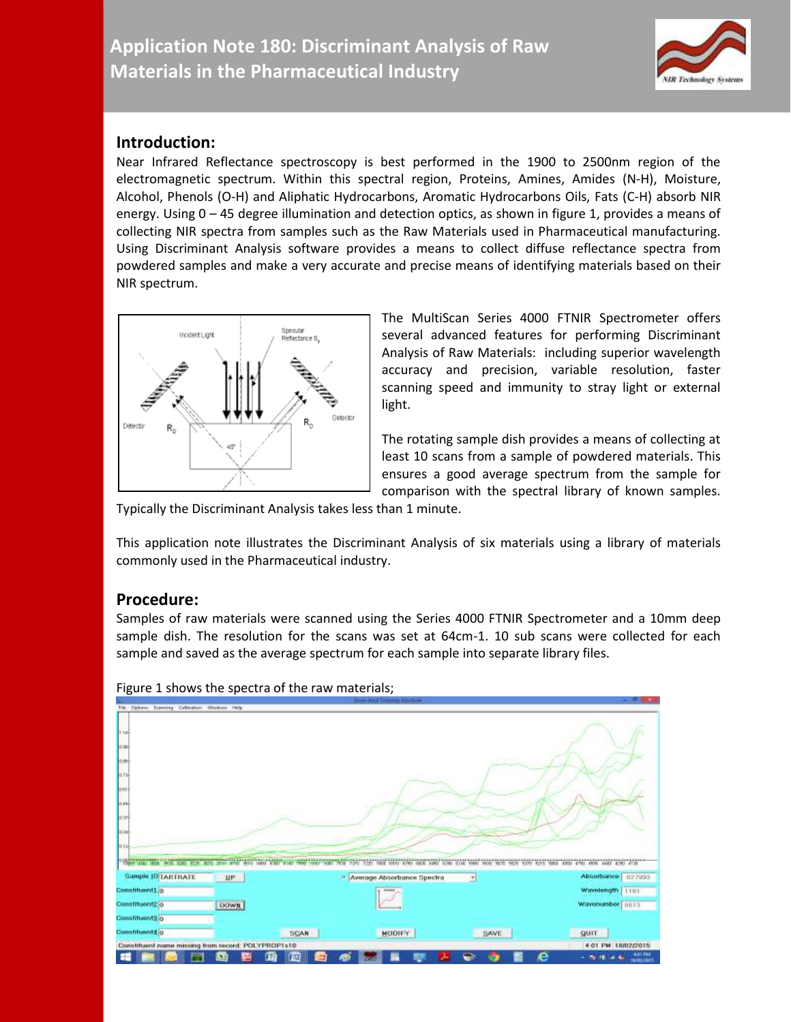

## **Introduction:**

Near Infrared Reflectance spectroscopy is best performed in the 1900 to 2500nm region of the electromagnetic spectrum. Within this spectral region, Proteins, Amines, Amides (N-H), Moisture, Alcohol, Phenols (O-H) and Aliphatic Hydrocarbons, Aromatic Hydrocarbons Oils, Fats (C-H) absorb NIR energy. Using 0 – 45 degree illumination and detection optics, as shown in figure 1, provides a means of collecting NIR spectra from samples such as the Raw Materials used in Pharmaceutical manufacturing. Using Discriminant Analysis software provides a means to collect diffuse reflectance spectra from powdered samples and make a very accurate and precise means of identifying materials based on their NIR spectrum.



The MultiScan Series 4000 FTNIR Spectrometer offers several advanced features for performing Discriminant Analysis of Raw Materials: including superior wavelength accuracy and precision, variable resolution, faster scanning speed and immunity to stray light or external light.

The rotating sample dish provides a means of collecting at least 10 scans from a sample of powdered materials. This ensures a good average spectrum from the sample for comparison with the spectral library of known samples.

Typically the Discriminant Analysis takes less than 1 minute.

This application note illustrates the Discriminant Analysis of six materials using a library of materials commonly used in the Pharmaceutical industry.

## **Procedure:**

Samples of raw materials were scanned using the Series 4000 FTNIR Spectrometer and a 10mm deep sample dish. The resolution for the scans was set at 64cm-1. 10 sub scans were collected for each sample and saved as the average spectrum for each sample into separate library files.



Figure 1 shows the spectra of the raw materials;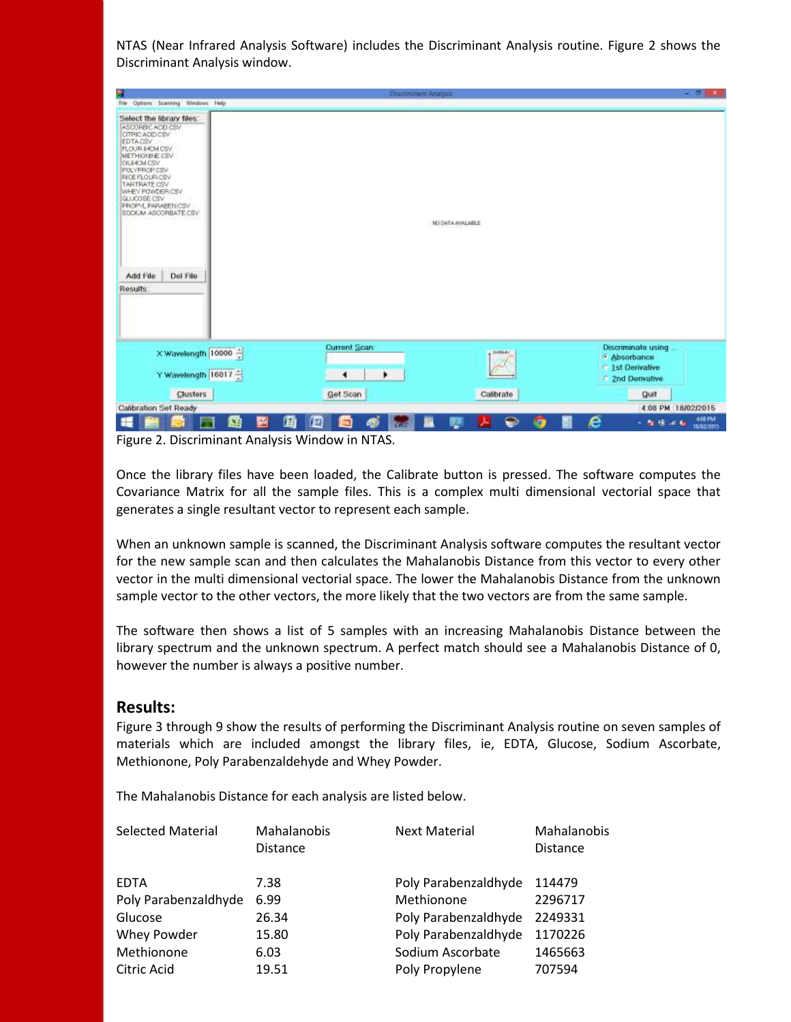NTAS (Near Infrared Analysis Software) includes the Discriminant Analysis routine. Figure 2 shows the Discriminant Analysis window.

| ۹                                                                                                                                                                                                                                                                              | <b>Discriminant Analysis</b>           |                 | $-100 - 80$                                     |
|--------------------------------------------------------------------------------------------------------------------------------------------------------------------------------------------------------------------------------------------------------------------------------|----------------------------------------|-----------------|-------------------------------------------------|
| <b>Rie Optiom Scenning Windows Help</b>                                                                                                                                                                                                                                        |                                        |                 |                                                 |
| Select the library files:<br>ASCORBICACIO CSV<br>CITEIC ACID CSV<br>EDTACSV<br><b>FLOUR EACM CSV</b><br>METHIONINE CSV<br>CILEACM CSV<br>POLYPROP.CSV<br>RICE FLOURICSV<br>TARTRATE CSV<br><b>WHEY POWDER CSV</b><br>GLUOGSE CSV<br>PROPIL PARABENCSV.<br>SODIUM ASCORBATE CSV |                                        | NO DATA WALKELL |                                                 |
| Del File<br>Add File                                                                                                                                                                                                                                                           |                                        |                 |                                                 |
| <b>Results</b>                                                                                                                                                                                                                                                                 |                                        |                 |                                                 |
|                                                                                                                                                                                                                                                                                | Current Scan:                          |                 | Discriminate using                              |
| X Wavelength 10000                                                                                                                                                                                                                                                             |                                        | <b>DISBURY</b>  | · Absorbance                                    |
| Y Wavelength 16017                                                                                                                                                                                                                                                             | ٠<br>٠                                 |                 | <b>1st Denvalive</b><br>2nd Derivative          |
| Clusters                                                                                                                                                                                                                                                                       | Get Scan                               | Calibrate       | Quit                                            |
| Calibration Set Ready                                                                                                                                                                                                                                                          |                                        |                 | 4:08 PM 18/02/2015                              |
| 国<br>М                                                                                                                                                                                                                                                                         | 曲<br>伵<br><b>B</b><br>æ<br><b>R</b> ad | ◒<br><b>key</b> | <b>4.08 PM</b><br>е<br>- N.H. 4 6<br>18/62/2015 |

Figure 2. Discriminant Analysis Window in NTAS.

Once the library files have been loaded, the Calibrate button is pressed. The software computes the Covariance Matrix for all the sample files. This is a complex multi dimensional vectorial space that generates a single resultant vector to represent each sample.

When an unknown sample is scanned, the Discriminant Analysis software computes the resultant vector for the new sample scan and then calculates the Mahalanobis Distance from this vector to every other vector in the multi dimensional vectorial space. The lower the Mahalanobis Distance from the unknown sample vector to the other vectors, the more likely that the two vectors are from the same sample.

The software then shows a list of 5 samples with an increasing Mahalanobis Distance between the library spectrum and the unknown spectrum. A perfect match should see a Mahalanobis Distance of 0, however the number is always a positive number.

## **Results:**

Figure 3 through 9 show the results of performing the Discriminant Analysis routine on seven samples of materials which are included amongst the library files, ie, EDTA, Glucose, Sodium Ascorbate, Methionone, Poly Parabenzaldehyde and Whey Powder.

The Mahalanobis Distance for each analysis are listed below.

| <b>Selected Material</b> | Mahalanobis<br><b>Distance</b> | <b>Next Material</b> | Mahalanobis<br><b>Distance</b> |
|--------------------------|--------------------------------|----------------------|--------------------------------|
| <b>EDTA</b>              | 7.38                           | Poly Parabenzaldhyde | 114479                         |
| Poly Parabenzaldhyde     | 6.99                           | Methionone           | 2296717                        |
| Glucose                  | 26.34                          | Poly Parabenzaldhyde | 2249331                        |
| Whey Powder              | 15.80                          | Poly Parabenzaldhyde | 1170226                        |
| Methionone               | 6.03                           | Sodium Ascorbate     | 1465663                        |
| Citric Acid              | 19.51                          | Poly Propylene       | 707594                         |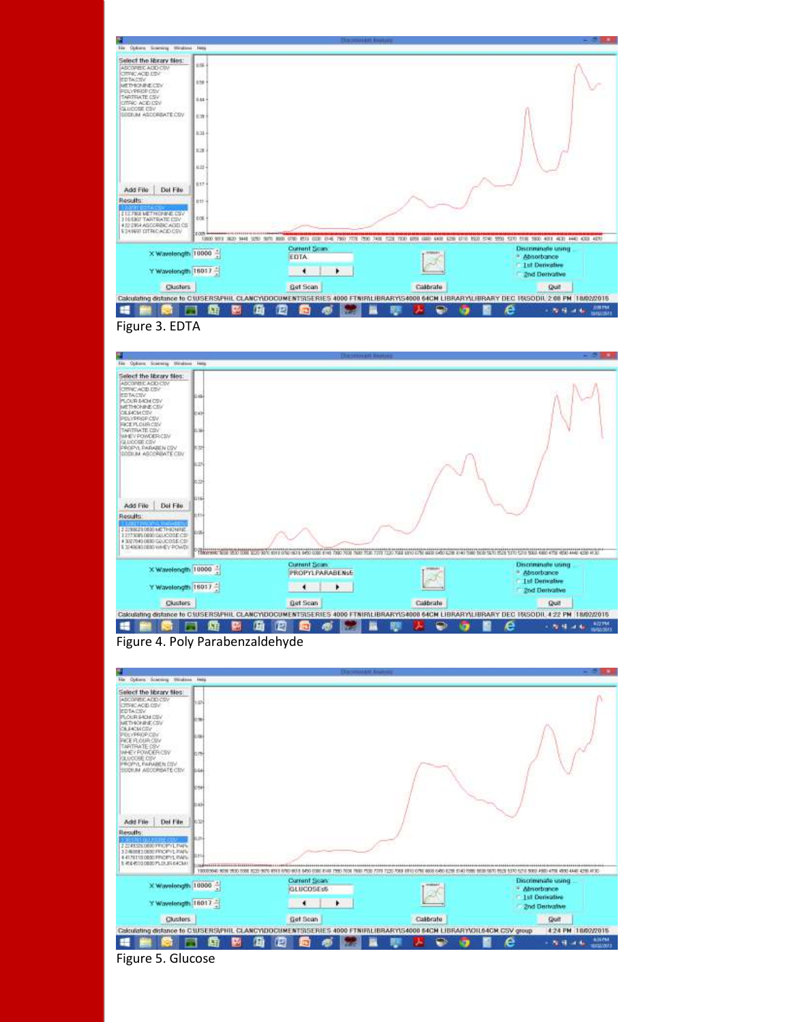|                                                                                                       |                                                        | <b>SERGIA ATLANTA</b>                                        |           |                                                                               |
|-------------------------------------------------------------------------------------------------------|--------------------------------------------------------|--------------------------------------------------------------|-----------|-------------------------------------------------------------------------------|
| Tão Options Sciencity Mitchins Help                                                                   |                                                        |                                                              |           |                                                                               |
| Select the library files:<br>ASCORBICACIO CIIV<br>CITRICACID DBV<br><b>EDTACTV</b><br>METHIONINE CITY | <b>ESE</b><br>158                                      |                                                              |           |                                                                               |
| POLYPROP COV<br>TARTFIATE CSV<br>CITRIC ACID ISV<br>GLUCOSE CSV                                       | $844 -$                                                |                                                              |           |                                                                               |
| CODEAN AGCORDATE COV                                                                                  | 839                                                    |                                                              |           |                                                                               |
|                                                                                                       | 6.34                                                   |                                                              |           |                                                                               |
|                                                                                                       | 1.28                                                   |                                                              |           |                                                                               |
|                                                                                                       | 8.32                                                   |                                                              |           |                                                                               |
| Del File<br>Add File                                                                                  | E17                                                    |                                                              |           |                                                                               |
| Results:                                                                                              | Ett                                                    |                                                              |           |                                                                               |
| I III 7368 METHONNE CIV-<br><b>110,000 TARTRATE CIV</b>                                               | 0.06                                                   |                                                              |           |                                                                               |
| 4 22 2854 AGCCREC AGE CS<br>\$24,9900 OTRICADED CRV                                                   | <b>EEOD <del>Interteta</del>tion control in an and</b> |                                                              |           |                                                                               |
| X Wavelength 10000                                                                                    |                                                        | <b>Current Scim</b><br><b>EDTA</b>                           |           | Discriminate using<br>Abhorbance<br><b>1st Denvative</b>                      |
| Y Wavelongth 16017                                                                                    |                                                        | ٠                                                            |           | 2nd Derivative                                                                |
|                                                                                                       |                                                        | <b>Get Scan</b>                                              | Calibrate | Quit                                                                          |
| Clusters                                                                                              |                                                        |                                                              |           |                                                                               |
|                                                                                                       |                                                        | Calculating distance to CIUSERS/PHIL CLANCY/LOCUMENTS/SERIES |           | 4000 FTNIRILIBRARYIS4000 64CM LIBRARYILIBRARY DEC 16ISODIL 2:08 PM 18/02/2015 |







| 1.024<br>EDTACSV<br>lo se<br>CILEACM CSV<br>bм<br>TARTRATE CSV<br><b>DO 791</b><br><b>IPROPYL FARABER CSV</b><br><b>B</b> riad<br>lose<br>bвł<br>llo to<br>Del File<br>動か<br><b>URICPYLING</b><br>D.t Si<br>DB00 PROPPEL PAPE<br>100005640 5030 5530 5530 5120 5570 6110<br>10 803 5450 (030 F188<br>5530.5670.5520.5130.5210.5330.4500.4750.4550.4440.4250.4130<br>T230 7063<br>Current Scan<br>Discriminate using<br>X Wavelength 10000<br>GLUCOSEs5<br>· Absorbance<br><b>1st Denvative</b><br>Y Wavelength 18017.<br>٠<br>٠<br>2nd Derivative<br>Clusters<br>Get Scan<br>Calibrato<br>Quit | Select the library files:                                   |  |  |
|------------------------------------------------------------------------------------------------------------------------------------------------------------------------------------------------------------------------------------------------------------------------------------------------------------------------------------------------------------------------------------------------------------------------------------------------------------------------------------------------------------------------------------------------------------------------------------------------|-------------------------------------------------------------|--|--|
|                                                                                                                                                                                                                                                                                                                                                                                                                                                                                                                                                                                                | ASCOREIC ADD CSV<br>CITRIC ACELCEV                          |  |  |
|                                                                                                                                                                                                                                                                                                                                                                                                                                                                                                                                                                                                | PLOUR SHOW CITY<br>METHONINE CSV                            |  |  |
|                                                                                                                                                                                                                                                                                                                                                                                                                                                                                                                                                                                                | POLYPROPICSV<br><b>FACE FLOUR CSM</b>                       |  |  |
|                                                                                                                                                                                                                                                                                                                                                                                                                                                                                                                                                                                                | WHEY POWDER CBV<br>QLUCOBE CBV                              |  |  |
|                                                                                                                                                                                                                                                                                                                                                                                                                                                                                                                                                                                                | <b>BOOILIN ASCORBATE CBV</b>                                |  |  |
|                                                                                                                                                                                                                                                                                                                                                                                                                                                                                                                                                                                                |                                                             |  |  |
|                                                                                                                                                                                                                                                                                                                                                                                                                                                                                                                                                                                                |                                                             |  |  |
|                                                                                                                                                                                                                                                                                                                                                                                                                                                                                                                                                                                                |                                                             |  |  |
|                                                                                                                                                                                                                                                                                                                                                                                                                                                                                                                                                                                                |                                                             |  |  |
|                                                                                                                                                                                                                                                                                                                                                                                                                                                                                                                                                                                                |                                                             |  |  |
|                                                                                                                                                                                                                                                                                                                                                                                                                                                                                                                                                                                                | Add File<br><b>Results</b> :                                |  |  |
|                                                                                                                                                                                                                                                                                                                                                                                                                                                                                                                                                                                                |                                                             |  |  |
|                                                                                                                                                                                                                                                                                                                                                                                                                                                                                                                                                                                                |                                                             |  |  |
|                                                                                                                                                                                                                                                                                                                                                                                                                                                                                                                                                                                                |                                                             |  |  |
|                                                                                                                                                                                                                                                                                                                                                                                                                                                                                                                                                                                                | 2 2249 526 0000 PRICENT LEMPA<br>T-RE45010800 PLOUSI 64CM / |  |  |
|                                                                                                                                                                                                                                                                                                                                                                                                                                                                                                                                                                                                |                                                             |  |  |
|                                                                                                                                                                                                                                                                                                                                                                                                                                                                                                                                                                                                |                                                             |  |  |

Figure 5. Glucose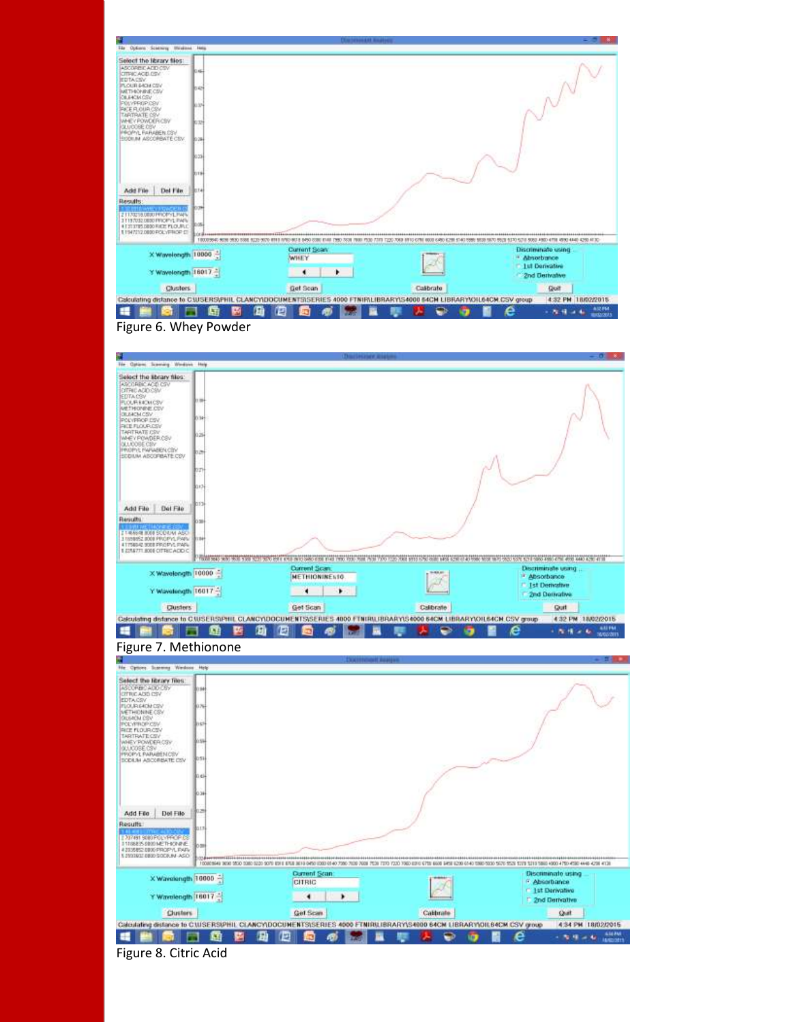|                                                                                                                                                                                                                                                                                                                                       |                                                      | <b>SENSON AND ROA</b>                          |                                                             |
|---------------------------------------------------------------------------------------------------------------------------------------------------------------------------------------------------------------------------------------------------------------------------------------------------------------------------------------|------------------------------------------------------|------------------------------------------------|-------------------------------------------------------------|
| File Options Sciencey Mindless Help<br>Select the library files:<br>ASCORBICADD CSV<br>CITERCACID DSV<br>EDTACSV<br><b>IN OUR SACH CITY</b><br>METHONING COV<br>CILEACM CSV<br>POLYPROP.CSV<br><b>FACE FLOUR CSM</b><br>ARTRATE CSV<br><b>POWDER CBV</b><br># UCOBE CBV<br><b>INNOVAL FARABER COV</b><br><b>BOOILIN ASCORBATE CBV</b> | 0.46<br>10:42<br>Bo.tov<br><b>Jo se</b><br>llo su    |                                                |                                                             |
|                                                                                                                                                                                                                                                                                                                                       |                                                      |                                                |                                                             |
| Del File                                                                                                                                                                                                                                                                                                                              | lo zo l<br><b>DOTH</b><br>۲ä                         |                                                |                                                             |
| <b>OPSTURAS</b><br>BO PINOPYL PAPI<br>15.0000 PACE PLOURLE                                                                                                                                                                                                                                                                            | œ<br>- 26<br>100003940 5030 5530 5530 5120 5570 6711 | RELE-BASO CORD IELER TWN<br>T220 7063 MHS 6716 | 5530 5670 5521 5370 5210 5360 4560 4770 4590 4440 4250 4130 |
| X Wavelength 10000                                                                                                                                                                                                                                                                                                                    |                                                      | Current Scan<br>WHEY                           | Discriminate using<br><sup>14</sup> Absorbance              |
| Add File<br><b>Results</b><br>II 1947212.0800 POLYPROP CT<br>Y Wavelength 16017.                                                                                                                                                                                                                                                      |                                                      | ٠<br>٠                                         | <b>1st Denvative</b><br>2nd Derivative                      |